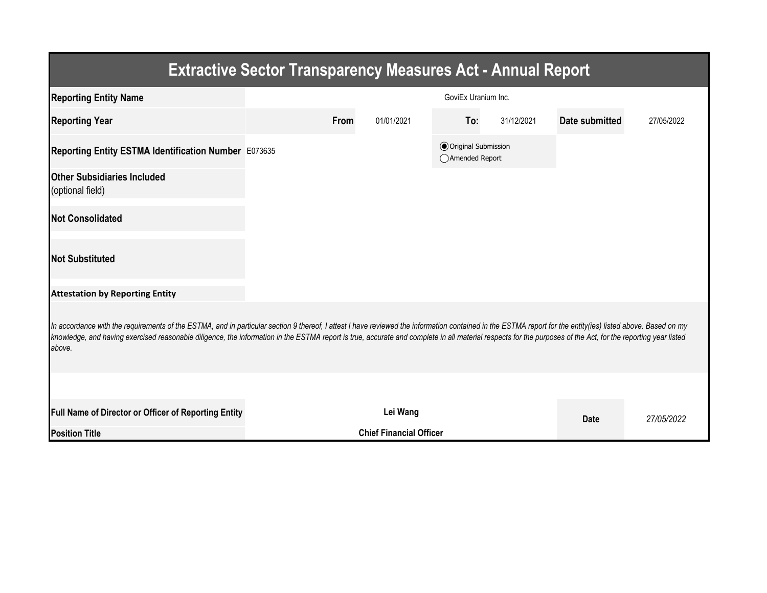| <b>Extractive Sector Transparency Measures Act - Annual Report</b>                                                                                                                                                                                                                                                                                                                                                                    |  |                                |            |                                                |            |                |            |  |  |  |
|---------------------------------------------------------------------------------------------------------------------------------------------------------------------------------------------------------------------------------------------------------------------------------------------------------------------------------------------------------------------------------------------------------------------------------------|--|--------------------------------|------------|------------------------------------------------|------------|----------------|------------|--|--|--|
| <b>Reporting Entity Name</b>                                                                                                                                                                                                                                                                                                                                                                                                          |  |                                |            | GoviEx Uranium Inc.                            |            |                |            |  |  |  |
| <b>Reporting Year</b>                                                                                                                                                                                                                                                                                                                                                                                                                 |  | From                           | 01/01/2021 | To:                                            | 31/12/2021 | Date submitted | 27/05/2022 |  |  |  |
| Reporting Entity ESTMA Identification Number E073635                                                                                                                                                                                                                                                                                                                                                                                  |  |                                |            | <b>● Original Submission</b><br>Amended Report |            |                |            |  |  |  |
| <b>Other Subsidiaries Included</b><br>(optional field)                                                                                                                                                                                                                                                                                                                                                                                |  |                                |            |                                                |            |                |            |  |  |  |
| <b>Not Consolidated</b>                                                                                                                                                                                                                                                                                                                                                                                                               |  |                                |            |                                                |            |                |            |  |  |  |
| <b>Not Substituted</b>                                                                                                                                                                                                                                                                                                                                                                                                                |  |                                |            |                                                |            |                |            |  |  |  |
| <b>Attestation by Reporting Entity</b>                                                                                                                                                                                                                                                                                                                                                                                                |  |                                |            |                                                |            |                |            |  |  |  |
| In accordance with the requirements of the ESTMA, and in particular section 9 thereof, I attest I have reviewed the information contained in the ESTMA report for the entity(ies) listed above. Based on my<br>knowledge, and having exercised reasonable diligence, the information in the ESTMA report is true, accurate and complete in all material respects for the purposes of the Act, for the reporting year listed<br>above. |  |                                |            |                                                |            |                |            |  |  |  |
|                                                                                                                                                                                                                                                                                                                                                                                                                                       |  |                                |            |                                                |            |                |            |  |  |  |
| Full Name of Director or Officer of Reporting Entity                                                                                                                                                                                                                                                                                                                                                                                  |  |                                | Lei Wang   |                                                |            | <b>Date</b>    | 27/05/2022 |  |  |  |
| <b>Position Title</b>                                                                                                                                                                                                                                                                                                                                                                                                                 |  | <b>Chief Financial Officer</b> |            |                                                |            |                |            |  |  |  |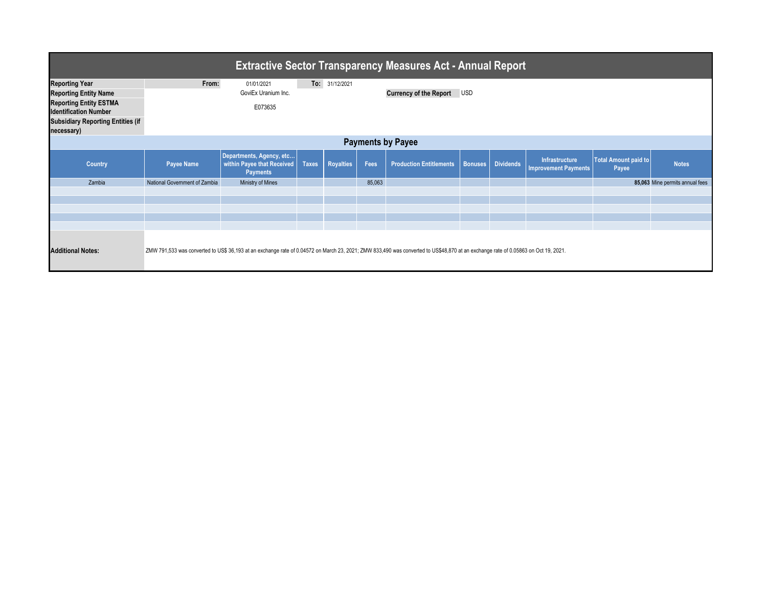| <b>Extractive Sector Transparency Measures Act - Annual Report</b> |                               |                                                                                                                                                                                    |              |                  |        |                                |                |                  |                                               |                                      |                                 |
|--------------------------------------------------------------------|-------------------------------|------------------------------------------------------------------------------------------------------------------------------------------------------------------------------------|--------------|------------------|--------|--------------------------------|----------------|------------------|-----------------------------------------------|--------------------------------------|---------------------------------|
| <b>Reporting Year</b>                                              | From:                         | 01/01/2021                                                                                                                                                                         |              | To: 31/12/2021   |        |                                |                |                  |                                               |                                      |                                 |
| <b>Reporting Entity Name</b>                                       |                               | GoviEx Uranium Inc.                                                                                                                                                                |              |                  |        | <b>Currency of the Report</b>  | <b>USD</b>     |                  |                                               |                                      |                                 |
| <b>Reporting Entity ESTMA</b><br><b>Identification Number</b>      |                               | E073635                                                                                                                                                                            |              |                  |        |                                |                |                  |                                               |                                      |                                 |
| <b>Subsidiary Reporting Entities (if</b><br>necessary)             |                               |                                                                                                                                                                                    |              |                  |        |                                |                |                  |                                               |                                      |                                 |
| <b>Payments by Payee</b>                                           |                               |                                                                                                                                                                                    |              |                  |        |                                |                |                  |                                               |                                      |                                 |
| Country                                                            | Payee Name                    | Departments, Agency, etc<br>within Payee that Received<br><b>Payments</b>                                                                                                          | <b>Taxes</b> | <b>Royalties</b> | Fees   | <b>Production Entitlements</b> | <b>Bonuses</b> | <b>Dividends</b> | Infrastructure<br><b>Improvement Payments</b> | <b>Total Amount paid to</b><br>Payee | <b>Notes</b>                    |
| Zambia                                                             | National Government of Zambia | Ministry of Mines                                                                                                                                                                  |              |                  | 85,063 |                                |                |                  |                                               |                                      | 85,063 Mine permits annual fees |
|                                                                    |                               |                                                                                                                                                                                    |              |                  |        |                                |                |                  |                                               |                                      |                                 |
|                                                                    |                               |                                                                                                                                                                                    |              |                  |        |                                |                |                  |                                               |                                      |                                 |
|                                                                    |                               |                                                                                                                                                                                    |              |                  |        |                                |                |                  |                                               |                                      |                                 |
|                                                                    |                               |                                                                                                                                                                                    |              |                  |        |                                |                |                  |                                               |                                      |                                 |
| <b>Additional Notes:</b>                                           |                               | ZMW 791,533 was converted to US\$ 36,193 at an exchange rate of 0.04572 on March 23, 2021; ZMW 833,490 was converted to US\$48,870 at an exchange rate of 0.05863 on Oct 19, 2021. |              |                  |        |                                |                |                  |                                               |                                      |                                 |